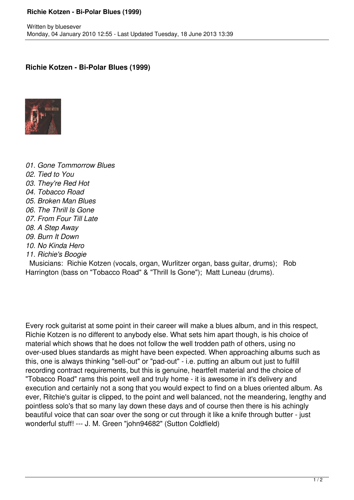## **Richie Kotzen - Bi-Polar Blues (1999)**

## **Richie Kotzen - Bi-Polar Blues (1999)**



- *01. Gone Tommorrow Blues*
- *02. Tied to You*
- *03. They're Red Hot*
- *04. Tobacco Road*
- *05. Broken Man Blues*
- *06. The Thrill Is Gone*
- *07. From Four Till Late*
- *08. A Step Away*
- *09. Burn It Down*
- *10. No Kinda Hero*
- *11. Richie's Boogie*

 Musicians: Richie Kotzen (vocals, organ, Wurlitzer organ, bass guitar, drums); Rob Harrington (bass on "Tobacco Road" & "Thrill Is Gone"); Matt Luneau (drums).

Every rock guitarist at some point in their career will make a blues album, and in this respect, Richie Kotzen is no different to anybody else. What sets him apart though, is his choice of material which shows that he does not follow the well trodden path of others, using no over-used blues standards as might have been expected. When approaching albums such as this, one is always thinking "sell-out" or "pad-out" - i.e. putting an album out just to fulfill recording contract requirements, but this is genuine, heartfelt material and the choice of "Tobacco Road" rams this point well and truly home - it is awesome in it's delivery and execution and certainly not a song that you would expect to find on a blues oriented album. As ever, Ritchie's guitar is clipped, to the point and well balanced, not the meandering, lengthy and pointless solo's that so many lay down these days and of course then there is his achingly beautiful voice that can soar over the song or cut through it like a knife through butter - just wonderful stuff! --- J. M. Green "john94682" (Sutton Coldfield)